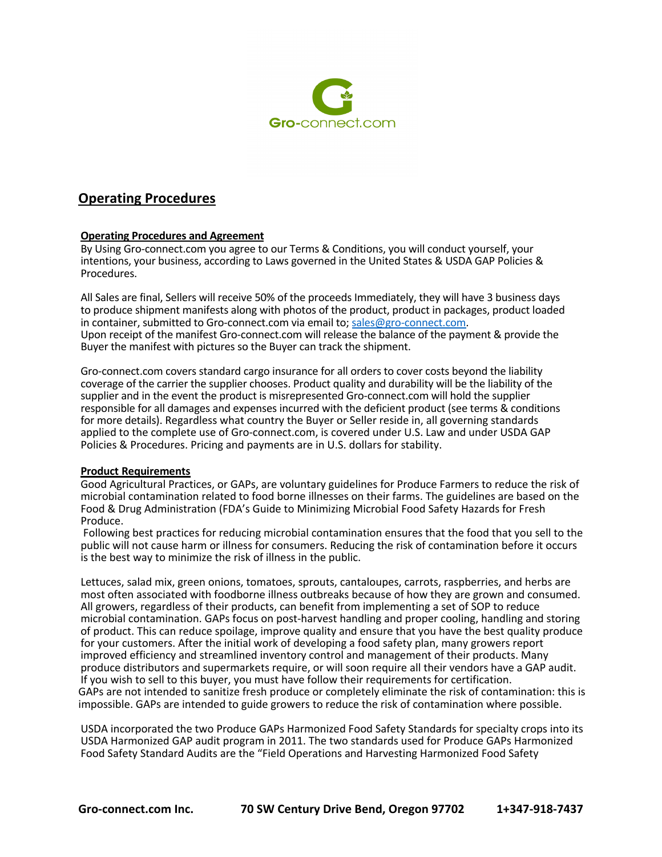

# **Operating Procedures**

# **Operating Procedures and Agreement**

By Using Gro-connect.com you agree to our Terms & Conditions, you will conduct yourself, your intentions, your business, according to Laws governed in the United States & USDA GAP Policies & Procedures.

All Sales are final, Sellers will receive 50% of the proceeds Immediately, they will have 3 business days to produce shipment manifests along with photos of the product, product in packages, product loaded in container, submitted to Gro-connect.com via email to; sales@gro-connect.com. Upon receipt of the manifest Gro-connect.com will release the balance of the payment & provide the Buyer the manifest with pictures so the Buyer can track the shipment.

Gro-connect.com covers standard cargo insurance for all orders to cover costs beyond the liability coverage of the carrier the supplier chooses. Product quality and durability will be the liability of the supplier and in the event the product is misrepresented Gro-connect.com will hold the supplier responsible for all damages and expenses incurred with the deficient product (see terms & conditions for more details). Regardless what country the Buyer or Seller reside in, all governing standards applied to the complete use of Gro-connect.com, is covered under U.S. Law and under USDA GAP Policies & Procedures. Pricing and payments are in U.S. dollars for stability.

### **Product Requirements**

Good Agricultural Practices, or GAPs, are voluntary guidelines for Produce Farmers to reduce the risk of microbial contamination related to food borne illnesses on their farms. The guidelines are based on the Food & Drug Administration (FDA's Guide to Minimizing Microbial Food Safety Hazards for Fresh Produce.

Following best practices for reducing microbial contamination ensures that the food that you sell to the public will not cause harm or illness for consumers. Reducing the risk of contamination before it occurs is the best way to minimize the risk of illness in the public.

Lettuces, salad mix, green onions, tomatoes, sprouts, cantaloupes, carrots, raspberries, and herbs are most often associated with foodborne illness outbreaks because of how they are grown and consumed. All growers, regardless of their products, can benefit from implementing a set of SOP to reduce microbial contamination. GAPs focus on post-harvest handling and proper cooling, handling and storing of product. This can reduce spoilage, improve quality and ensure that you have the best quality produce for your customers. After the initial work of developing a food safety plan, many growers report improved efficiency and streamlined inventory control and management of their products. Many produce distributors and supermarkets require, or will soon require all their vendors have a GAP audit. If you wish to sell to this buyer, you must have follow their requirements for certification. GAPs are not intended to sanitize fresh produce or completely eliminate the risk of contamination: this is impossible. GAPs are intended to guide growers to reduce the risk of contamination where possible.

USDA incorporated the two Produce GAPs Harmonized Food Safety Standards for specialty crops into its USDA Harmonized GAP audit program in 2011. The two standards used for Produce GAPs Harmonized Food Safety Standard Audits are the "Field Operations and Harvesting Harmonized Food Safety